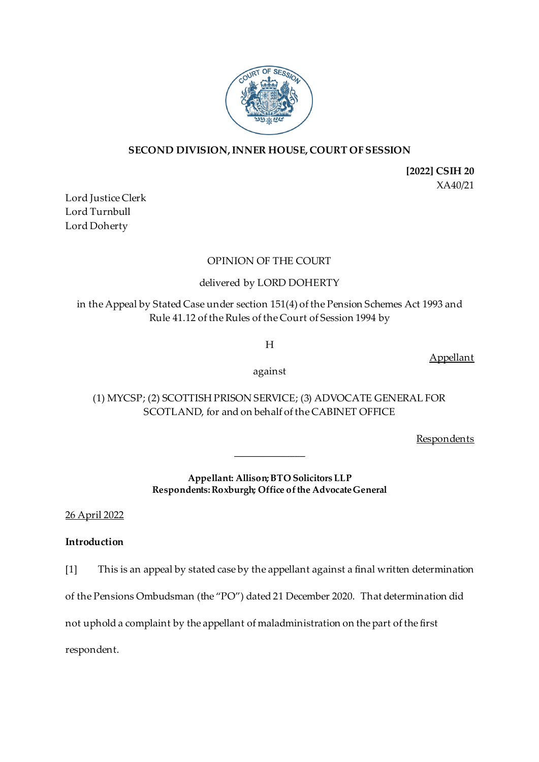

## **SECOND DIVISION, INNER HOUSE, COURT OF SESSION**

**[2022] CSIH 20** XA40/21

Lord Justice Clerk Lord Turnbull Lord Doherty

### OPINION OF THE COURT

## delivered by LORD DOHERTY

in the Appeal by Stated Case under section 151(4) of the Pension Schemes Act 1993 and Rule 41.12 of the Rules of the Court of Session 1994 by

H

Appellant

against

(1) MYCSP; (2) SCOTTISH PRISON SERVICE; (3) ADVOCATE GENERAL FOR SCOTLAND, for and on behalf of the CABINET OFFICE

**Respondents** 

**Appellant: Allison; BTO Solicitors LLP Respondents: Roxburgh; Office of the Advocate General**

\_\_\_\_\_\_\_\_\_\_\_\_\_\_

26 April 2022

### **Introduction**

[1] This is an appeal by stated case by the appellant against a final written determination

of the Pensions Ombudsman (the "PO") dated 21 December 2020. That determination did

not uphold a complaint by the appellant of maladministration on the part of the first

respondent.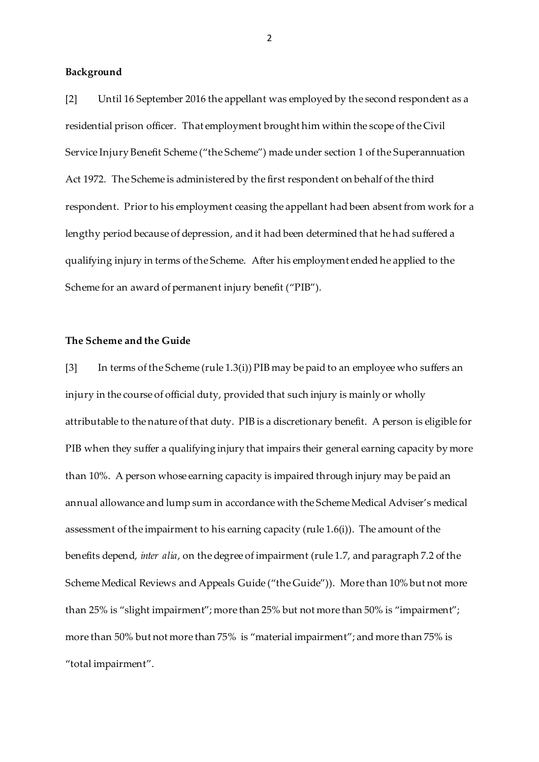#### **Background**

[2] Until 16 September 2016 the appellant was employed by the second respondent as a residential prison officer. That employment brought him within the scope of the Civil Service Injury Benefit Scheme ("the Scheme") made under section 1 of the Superannuation Act 1972. The Scheme is administered by the first respondent on behalf of the third respondent. Prior to his employment ceasing the appellant had been absent from work for a lengthy period because of depression, and it had been determined that he had suffered a qualifying injury in terms of the Scheme. After his employment ended he applied to the Scheme for an award of permanent injury benefit ("PIB").

#### **The Scheme and the Guide**

[3] In terms of the Scheme (rule 1.3(i)) PIB may be paid to an employee who suffers an injury in the course of official duty, provided that such injury is mainly or wholly attributable to the nature of that duty. PIB is a discretionary benefit. A person is eligible for PIB when they suffer a qualifying injury that impairs their general earning capacity by more than 10%. A person whose earning capacity is impaired through injury may be paid an annual allowance and lump sum in accordance with the Scheme Medical Adviser's medical assessment of the impairment to his earning capacity (rule 1.6(i)). The amount of the benefits depend, *inter alia*, on the degree of impairment (rule 1.7, and paragraph 7.2 of the Scheme Medical Reviews and Appeals Guide ("the Guide")). More than 10% but not more than 25% is "slight impairment"; more than 25% but not more than 50% is "impairment"; more than 50% but not more than 75% is "material impairment"; and more than 75% is "total impairment".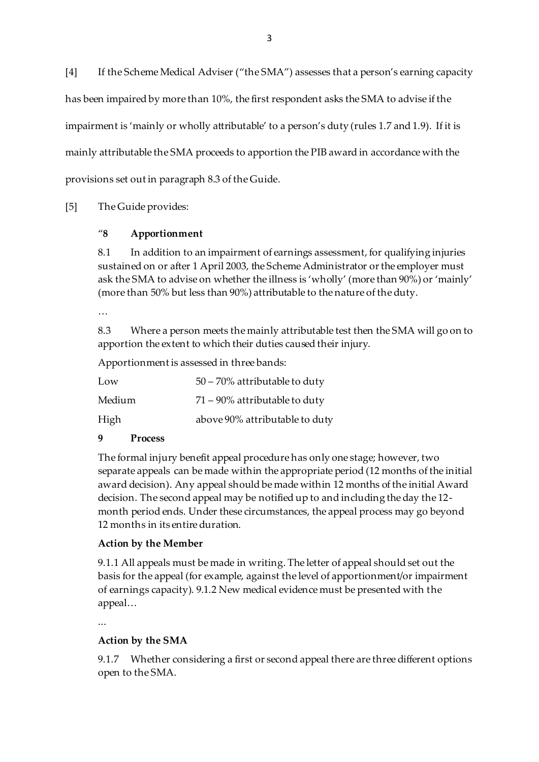[4] If the Scheme Medical Adviser ("the SMA") assesses that a person's earning capacity has been impaired by more than 10%, the first respondent asks the SMA to advise if the impairment is 'mainly or wholly attributable' to a person's duty (rules 1.7 and 1.9). If it is mainly attributable the SMA proceeds to apportion the PIB award in accordance with the provisions set out in paragraph 8.3 of the Guide.

# [5] The Guide provides:

## "**8 Apportionment**

8.1 In addition to an impairment of earnings assessment, for qualifying injuries sustained on or after 1 April 2003, the Scheme Administrator or the employer must ask the SMA to advise on whether the illness is 'wholly' (more than 90%) or 'mainly' (more than 50% but less than 90%) attributable to the nature of the duty.

…

8.3 Where a person meets the mainly attributable test then the SMA will go on to apportion the extent to which their duties caused their injury.

Apportionment is assessed in three bands:

| Low    | 50 – 70% attributable to duty    |
|--------|----------------------------------|
| Medium | $71 - 90\%$ attributable to duty |
| High   | above 90% attributable to duty   |

### **9 Process**

The formal injury benefit appeal procedure has only one stage; however, two separate appeals can be made within the appropriate period (12 months of the initial award decision). Any appeal should be made within 12 months of the initial Award decision. The second appeal may be notified up to and including the day the 12 month period ends. Under these circumstances, the appeal process may go beyond 12 months in its entire duration.

# **Action by the Member**

9.1.1 All appeals must be made in writing. The letter of appeal should set out the basis for the appeal (for example, against the level of apportionment/or impairment of earnings capacity). 9.1.2 New medical evidence must be presented with the appeal…

...

# **Action by the SMA**

9.1.7 Whether considering a first or second appeal there are three different options open to the SMA.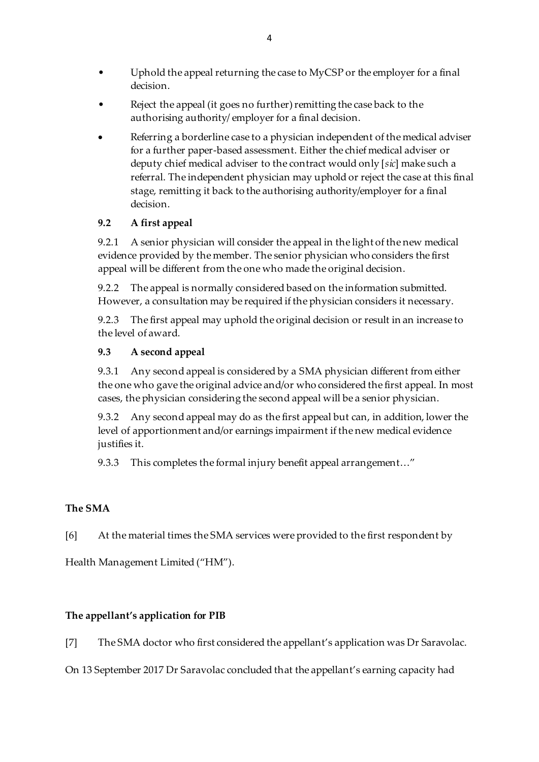- Uphold the appeal returning the case to MyCSP or the employer for a final decision.
- Reject the appeal (it goes no further) remitting the case back to the authorising authority/ employer for a final decision.
- Referring a borderline case to a physician independent of the medical adviser for a further paper-based assessment. Either the chief medical adviser or deputy chief medical adviser to the contract would only [*sic*] make such a referral. The independent physician may uphold or reject the case at this final stage, remitting it back to the authorising authority/employer for a final decision.

# **9.2 A first appeal**

9.2.1 A senior physician will consider the appeal in the light of the new medical evidence provided by the member. The senior physician who considers the first appeal will be different from the one who made the original decision.

9.2.2 The appeal is normally considered based on the information submitted. However, a consultation may be required if the physician considers it necessary.

9.2.3 The first appeal may uphold the original decision or result in an increase to the level of award.

# **9.3 A second appeal**

9.3.1 Any second appeal is considered by a SMA physician different from either the one who gave the original advice and/or who considered the first appeal. In most cases, the physician considering the second appeal will be a senior physician.

9.3.2 Any second appeal may do as the first appeal but can, in addition, lower the level of apportionment and/or earnings impairment if the new medical evidence justifies it.

9.3.3 This completes the formal injury benefit appeal arrangement…"

# **The SMA**

[6] At the material times the SMA services were provided to the first respondent by

Health Management Limited ("HM").

# **The appellant's application for PIB**

[7] The SMA doctor who first considered the appellant's application was Dr Saravolac.

On 13 September 2017 Dr Saravolac concluded that the appellant's earning capacity had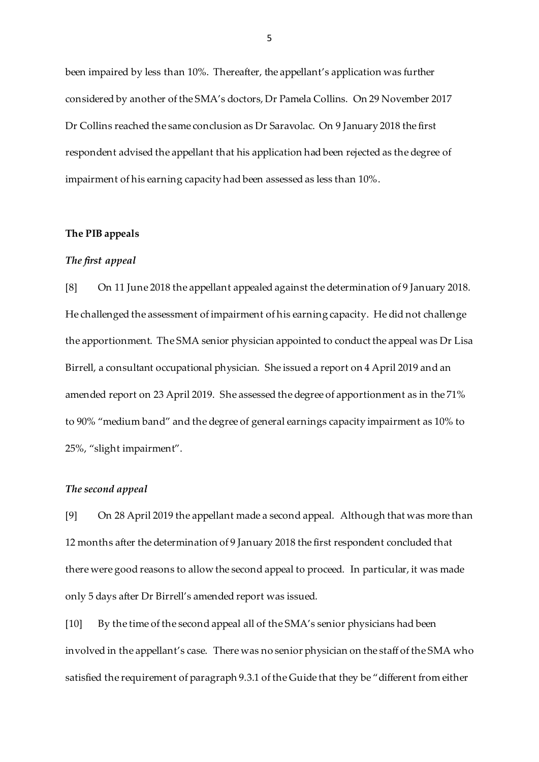been impaired by less than 10%. Thereafter, the appellant's application was further considered by another of the SMA's doctors, Dr Pamela Collins. On 29 November 2017 Dr Collins reached the same conclusion as Dr Saravolac. On 9 January 2018 the first respondent advised the appellant that his application had been rejected as the degree of impairment of his earning capacity had been assessed as less than 10%.

#### **The PIB appeals**

#### *The first appeal*

[8] On 11 June 2018 the appellant appealed against the determination of 9 January 2018. He challenged the assessment of impairment of his earning capacity. He did not challenge the apportionment. The SMA senior physician appointed to conduct the appeal was Dr Lisa Birrell, a consultant occupational physician. She issued a report on 4 April 2019 and an amended report on 23 April 2019. She assessed the degree of apportionment as in the 71% to 90% "medium band" and the degree of general earnings capacity impairment as 10% to 25%, "slight impairment".

#### *The second appeal*

[9] On 28 April 2019 the appellant made a second appeal. Although that was more than 12 months after the determination of 9 January 2018 the first respondent concluded that there were good reasons to allow the second appeal to proceed. In particular, it was made only 5 days after Dr Birrell's amended report was issued.

[10] By the time of the second appeal all of the SMA's senior physicians had been involved in the appellant's case. There was no senior physician on the staff of the SMA who satisfied the requirement of paragraph 9.3.1 of the Guide that they be "different from either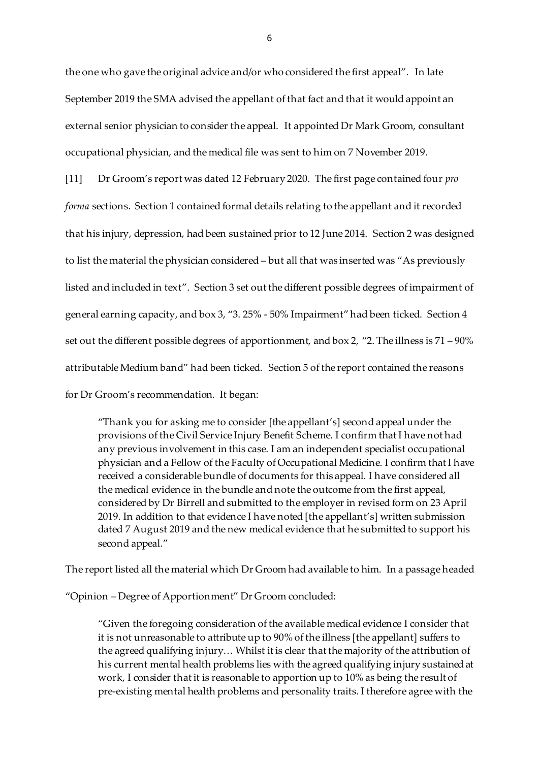the one who gave the original advice and/or who considered the first appeal". In late September 2019 the SMA advised the appellant of that fact and that it would appoint an external senior physician to consider the appeal. It appointed Dr Mark Groom, consultant occupational physician, and the medical file was sent to him on 7 November 2019.

[11] Dr Groom's report was dated 12 February 2020. The first page contained four *pro forma* sections. Section 1 contained formal details relating to the appellant and it recorded that his injury, depression, had been sustained prior to 12 June 2014. Section 2 was designed to list the material the physician considered – but all that was inserted was "As previously listed and included in text". Section 3 set out the different possible degrees of impairment of general earning capacity, and box 3, "3. 25% - 50% Impairment" had been ticked. Section 4 set out the different possible degrees of apportionment, and box 2, "2. The illness is 71 – 90% attributable Medium band" had been ticked. Section 5 of the report contained the reasons for Dr Groom's recommendation. It began:

"Thank you for asking me to consider [the appellant's] second appeal under the provisions of the Civil Service Injury Benefit Scheme. I confirm that I have not had any previous involvement in this case. I am an independent specialist occupational physician and a Fellow of the Faculty of Occupational Medicine. I confirm that I have received a considerable bundle of documents for this appeal. I have considered all the medical evidence in the bundle and note the outcome from the first appeal, considered by Dr Birrell and submitted to the employer in revised form on 23 April 2019. In addition to that evidence I have noted [the appellant's] written submission dated 7 August 2019 and the new medical evidence that he submitted to support his second appeal."

The report listed all the material which Dr Groom had available to him. In a passage headed

"Opinion – Degree of Apportionment" Dr Groom concluded:

"Given the foregoing consideration of the available medical evidence I consider that it is not unreasonable to attribute up to 90% of the illness [the appellant] suffers to the agreed qualifying injury… Whilst it is clear that the majority of the attribution of his current mental health problems lies with the agreed qualifying injury sustained at work, I consider that it is reasonable to apportion up to 10% as being the result of pre-existing mental health problems and personality traits. I therefore agree with the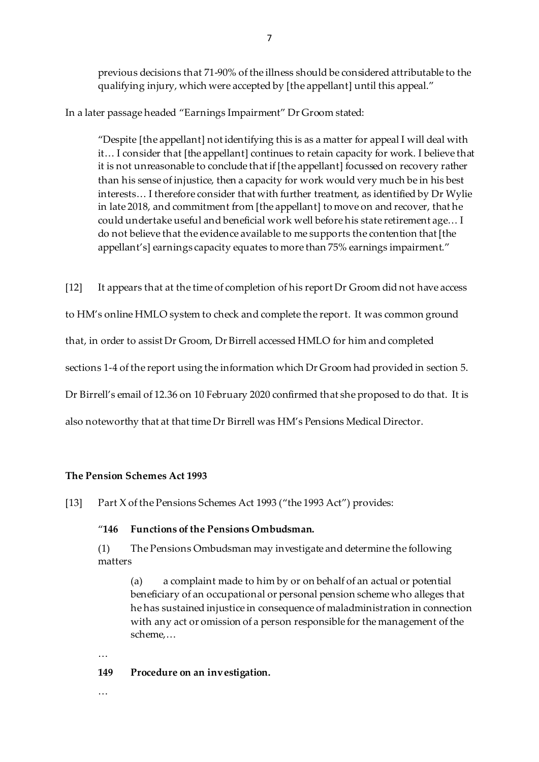previous decisions that 71-90% of the illness should be considered attributable to the qualifying injury, which were accepted by [the appellant] until this appeal."

In a later passage headed "Earnings Impairment" Dr Groom stated:

"Despite [the appellant] not identifying this is as a matter for appeal I will deal with it… I consider that [the appellant] continues to retain capacity for work. I believe that it is not unreasonable to conclude that if [the appellant] focussed on recovery rather than his sense of injustice, then a capacity for work would very much be in his best interests… I therefore consider that with further treatment, as identified by Dr Wylie in late 2018, and commitment from [the appellant] to move on and recover, that he could undertake useful and beneficial work well before his state retirement age… I do not believe that the evidence available to me supports the contention that [the appellant's] earnings capacity equates to more than 75% earnings impairment."

[12] It appears that at the time of completion of his report Dr Groom did not have access

to HM's online HMLO system to check and complete the report. It was common ground

that, in order to assist Dr Groom, Dr Birrell accessed HMLO for him and completed

sections 1-4 of the report using the information which Dr Groom had provided in section 5.

Dr Birrell's email of 12.36 on 10 February 2020 confirmed that she proposed to do that. It is

also noteworthy that at that time Dr Birrell was HM's Pensions Medical Director.

#### **The Pension Schemes Act 1993**

[13] Part X of the Pensions Schemes Act 1993 ("the 1993 Act") provides:

### "**146 Functions of the Pensions Ombudsman.**

(1) The Pensions Ombudsman may investigate and determine the following matters

(a) a complaint made to him by or on behalf of an actual or potential beneficiary of an occupational or personal pension scheme who alleges that he has sustained injustice in consequence of maladministration in connection with any act or omission of a person responsible for the management of the scheme,…

…

### **149 Procedure on an investigation.**

…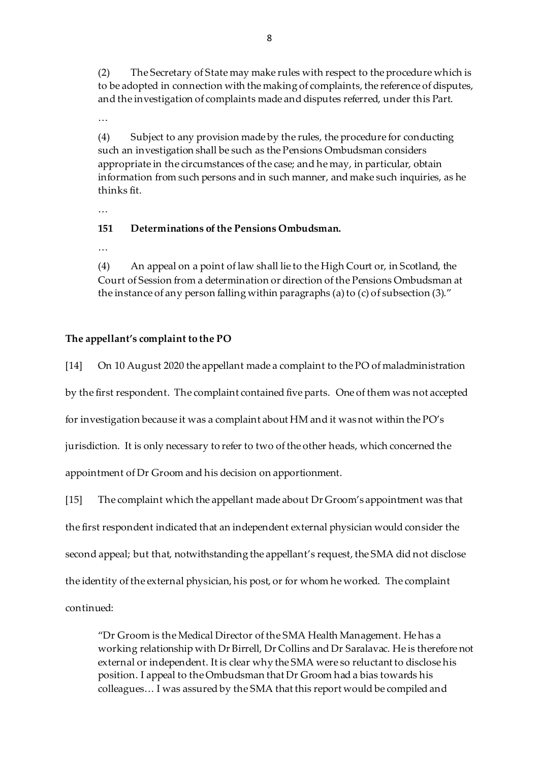(2) The Secretary of State may make rules with respect to the procedure which is to be adopted in connection with the making of complaints, the reference of disputes, and the investigation of complaints made and disputes referred, under this Part.

…

(4) Subject to any provision made by the rules, the procedure for conducting such an investigation shall be such as the Pensions Ombudsman considers appropriate in the circumstances of the case; and he may, in particular, obtain information from such persons and in such manner, and make such inquiries, as he thinks fit.

…

### **151 Determinations of the Pensions Ombudsman.**

…

(4) An appeal on a point of law shall lie to the High Court or, in Scotland, the Court of Session from a determination or direction of the Pensions Ombudsman at the instance of any person falling within paragraphs (a) to (c) of subsection (3)."

### **The appellant's complaint to the PO**

[14] On 10 August 2020 the appellant made a complaint to the PO of maladministration by the first respondent. The complaint contained five parts. One of them was not accepted for investigation because it was a complaint about HM and it was not within the PO's jurisdiction. It is only necessary to refer to two of the other heads, which concerned the appointment of Dr Groom and his decision on apportionment.

[15] The complaint which the appellant made about Dr Groom's appointment was that the first respondent indicated that an independent external physician would consider the second appeal; but that, notwithstanding the appellant's request, the SMA did not disclose the identity of the external physician, his post, or for whom he worked. The complaint continued:

"Dr Groom is the Medical Director of the SMA Health Management. He has a working relationship with Dr Birrell, Dr Collins and Dr Saralavac. He is therefore not external or independent. It is clear why the SMA were so reluctant to disclose his position. I appeal to the Ombudsman that Dr Groom had a bias towards his colleagues… I was assured by the SMA that this report would be compiled and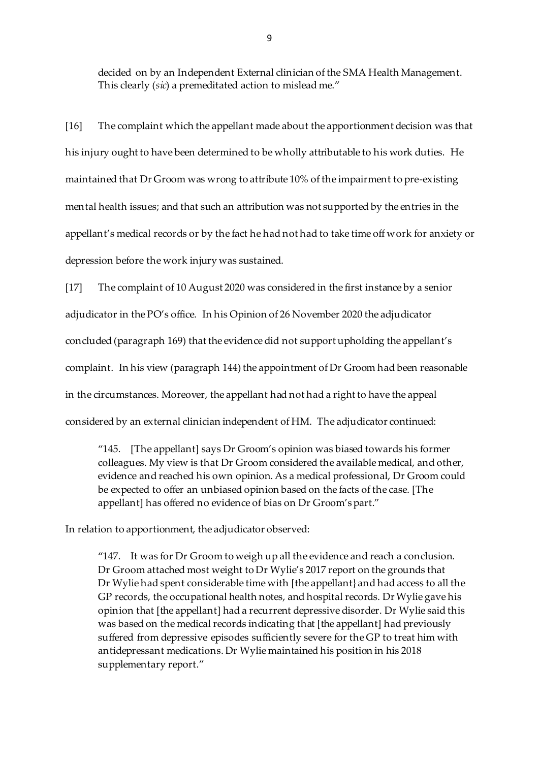decided on by an Independent External clinician of the SMA Health Management. This clearly (*sic*) a premeditated action to mislead me."

[16] The complaint which the appellant made about the apportionment decision was that his injury ought to have been determined to be wholly attributable to his work duties. He maintained that Dr Groom was wrong to attribute 10% of the impairment to pre-existing mental health issues; and that such an attribution was not supported by the entries in the appellant's medical records or by the fact he had not had to take time off work for anxiety or depression before the work injury was sustained.

[17] The complaint of 10 August 2020 was considered in the first instance by a senior adjudicator in the PO's office. In his Opinion of 26 November 2020 the adjudicator concluded (paragraph 169) that the evidence did not support upholding the appellant's complaint. In his view (paragraph 144) the appointment of Dr Groom had been reasonable in the circumstances. Moreover, the appellant had not had a right to have the appeal considered by an external clinician independent of HM. The adjudicator continued:

"145. [The appellant] says Dr Groom's opinion was biased towards his former colleagues. My view is that Dr Groom considered the available medical, and other, evidence and reached his own opinion. As a medical professional, Dr Groom could be expected to offer an unbiased opinion based on the facts of the case. [The appellant] has offered no evidence of bias on Dr Groom's part."

In relation to apportionment, the adjudicator observed:

"147. It was for Dr Groom to weigh up all the evidence and reach a conclusion. Dr Groom attached most weight to Dr Wylie's 2017 report on the grounds that Dr Wylie had spent considerable time with [the appellant} and had access to all the GP records, the occupational health notes, and hospital records. Dr Wylie gave his opinion that [the appellant] had a recurrent depressive disorder. Dr Wylie said this was based on the medical records indicating that [the appellant] had previously suffered from depressive episodes sufficiently severe for the GP to treat him with antidepressant medications. Dr Wylie maintained his position in his 2018 supplementary report."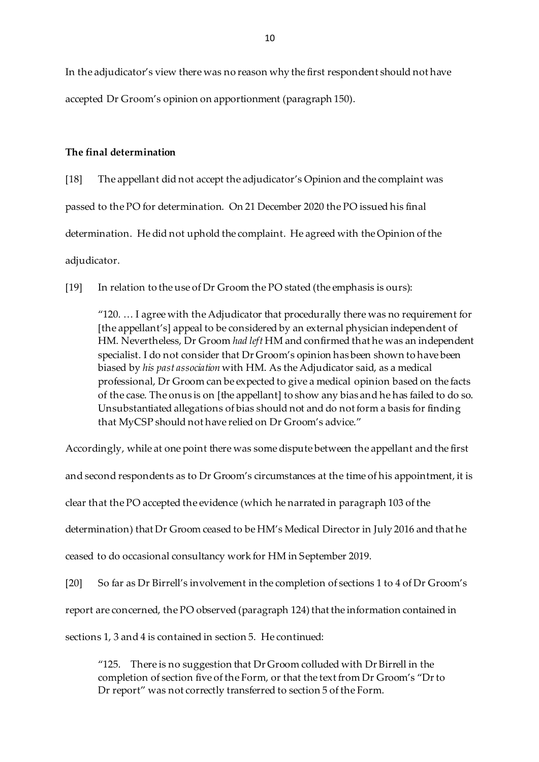In the adjudicator's view there was no reason why the first respondent should not have accepted Dr Groom's opinion on apportionment (paragraph 150).

### **The final determination**

[18] The appellant did not accept the adjudicator's Opinion and the complaint was passed to the PO for determination. On 21 December 2020 the PO issued his final determination. He did not uphold the complaint. He agreed with the Opinion of the adjudicator.

[19] In relation to the use of Dr Groom the PO stated (the emphasis is ours):

"120. … I agree with the Adjudicator that procedurally there was no requirement for [the appellant's] appeal to be considered by an external physician independent of HM. Nevertheless, Dr Groom *had left* HM and confirmed that he was an independent specialist. I do not consider that Dr Groom's opinion has been shown to have been biased by *his past association* with HM. As the Adjudicator said, as a medical professional, Dr Groom can be expected to give a medical opinion based on the facts of the case. The onus is on [the appellant] to show any bias and he has failed to do so. Unsubstantiated allegations of bias should not and do not form a basis for finding that MyCSP should not have relied on Dr Groom's advice."

Accordingly, while at one point there was some dispute between the appellant and the first and second respondents as to Dr Groom's circumstances at the time of his appointment, it is clear that the PO accepted the evidence (which he narrated in paragraph 103 of the determination) that Dr Groom ceased to be HM's Medical Director in July 2016 and that he ceased to do occasional consultancy work for HM in September 2019. [20] So far as Dr Birrell's involvement in the completion of sections 1 to 4 of Dr Groom's report are concerned, the PO observed (paragraph 124) that the information contained in

sections 1, 3 and 4 is contained in section 5. He continued:

"125. There is no suggestion that Dr Groom colluded with Dr Birrell in the completion of section five of the Form, or that the text from Dr Groom's "Dr to Dr report" was not correctly transferred to section 5 of the Form.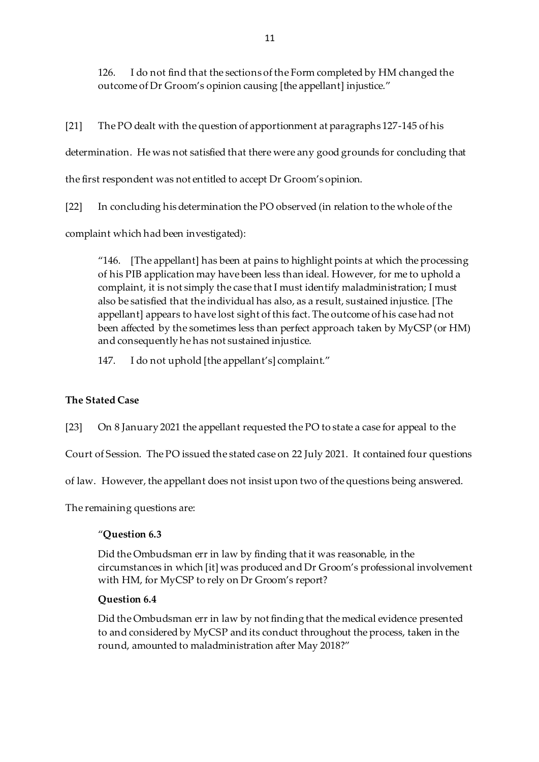126. I do not find that the sections of the Form completed by HM changed the outcome of Dr Groom's opinion causing [the appellant] injustice."

[21] The PO dealt with the question of apportionment at paragraphs 127-145 of his determination. He was not satisfied that there were any good grounds for concluding that the first respondent was not entitled to accept Dr Groom's opinion.

[22] In concluding his determination the PO observed (in relation to the whole of the complaint which had been investigated):

"146. [The appellant] has been at pains to highlight points at which the processing of his PIB application may have been less than ideal. However, for me to uphold a complaint, it is not simply the case that I must identify maladministration; I must also be satisfied that the individual has also, as a result, sustained injustice. [The appellant] appears to have lost sight of this fact. The outcome of his case had not been affected by the sometimes less than perfect approach taken by MyCSP (or HM) and consequently he has not sustained injustice.

147. I do not uphold [the appellant's] complaint."

# **The Stated Case**

[23] On 8 January 2021 the appellant requested the PO to state a case for appeal to the

Court of Session. The PO issued the stated case on 22 July 2021. It contained four questions

of law. However, the appellant does not insist upon two of the questions being answered.

The remaining questions are:

# "**Question 6.3**

Did the Ombudsman err in law by finding that it was reasonable, in the circumstances in which [it] was produced and Dr Groom's professional involvement with HM, for MyCSP to rely on Dr Groom's report?

### **Question 6.4**

Did the Ombudsman err in law by not finding that the medical evidence presented to and considered by MyCSP and its conduct throughout the process, taken in the round, amounted to maladministration after May 2018?"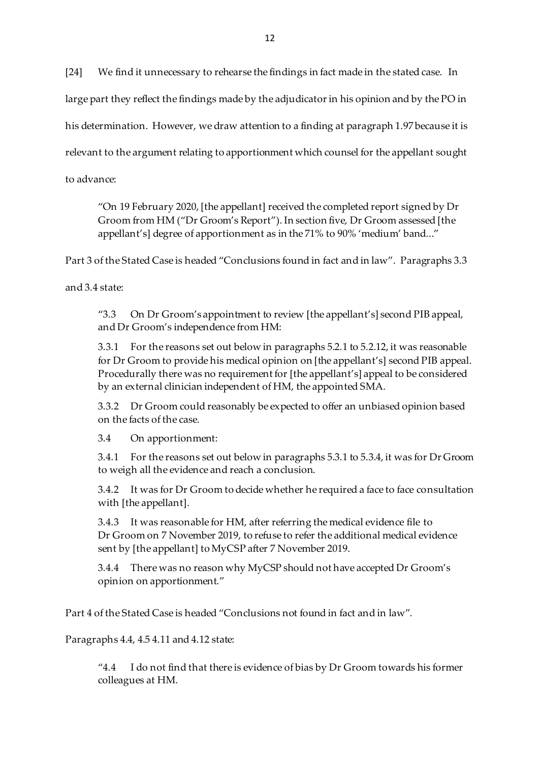[24] We find it unnecessary to rehearse the findings in fact made in the stated case. In

large part they reflect the findings made by the adjudicator in his opinion and by the PO in

his determination. However, we draw attention to a finding at paragraph 1.97 because it is

relevant to the argument relating to apportionment which counsel for the appellant sought

to advance:

"On 19 February 2020, [the appellant] received the completed report signed by Dr Groom from HM ("Dr Groom's Report"). In section five, Dr Groom assessed [the appellant's] degree of apportionment as in the 71% to 90% 'medium' band..."

Part 3 of the Stated Case is headed "Conclusions found in fact and in law". Paragraphs 3.3

and 3.4 state:

"3.3 On Dr Groom's appointment to review [the appellant's] second PIB appeal, and Dr Groom's independence from HM:

3.3.1 For the reasons set out below in paragraphs 5.2.1 to 5.2.12, it was reasonable for Dr Groom to provide his medical opinion on [the appellant's] second PIB appeal. Procedurally there was no requirement for [the appellant's] appeal to be considered by an external clinician independent of HM, the appointed SMA.

3.3.2 Dr Groom could reasonably be expected to offer an unbiased opinion based on the facts of the case.

3.4 On apportionment:

3.4.1 For the reasons set out below in paragraphs 5.3.1 to 5.3.4, it was for Dr Groom to weigh all the evidence and reach a conclusion.

3.4.2 It was for Dr Groom to decide whether he required a face to face consultation with [the appellant].

3.4.3 It was reasonable for HM, after referring the medical evidence file to Dr Groom on 7 November 2019, to refuse to refer the additional medical evidence sent by [the appellant] to MyCSP after 7 November 2019.

3.4.4 There was no reason why MyCSP should not have accepted Dr Groom's opinion on apportionment."

Part 4 of the Stated Case is headed "Conclusions not found in fact and in law".

Paragraphs 4.4, 4.5 4.11 and 4.12 state:

"4.4 I do not find that there is evidence of bias by Dr Groom towards his former colleagues at HM.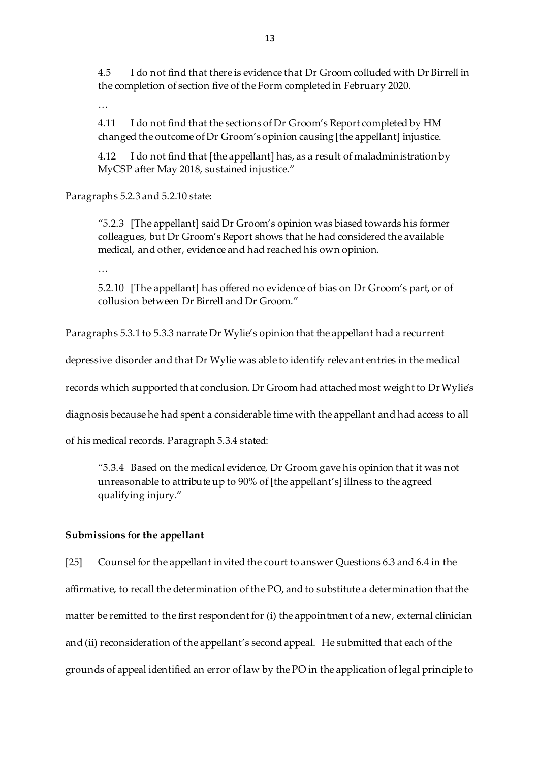4.5 I do not find that there is evidence that Dr Groom colluded with Dr Birrell in the completion of section five of the Form completed in February 2020.

…

4.11 I do not find that the sections of Dr Groom's Report completed by HM changed the outcome of Dr Groom's opinion causing [the appellant] injustice.

4.12 I do not find that [the appellant] has, as a result of maladministration by MyCSP after May 2018, sustained injustice."

Paragraphs 5.2.3 and 5.2.10 state:

"5.2.3 [The appellant] said Dr Groom's opinion was biased towards his former colleagues, but Dr Groom's Report shows that he had considered the available medical, and other, evidence and had reached his own opinion.

…

5.2.10 [The appellant] has offered no evidence of bias on Dr Groom's part, or of collusion between Dr Birrell and Dr Groom."

Paragraphs 5.3.1 to 5.3.3 narrate Dr Wylie's opinion that the appellant had a recurrent

depressive disorder and that Dr Wylie was able to identify relevant entries in the medical

records which supported that conclusion. Dr Groom had attached most weight to Dr Wylie's

diagnosis because he had spent a considerable time with the appellant and had access to all

of his medical records. Paragraph 5.3.4 stated:

"5.3.4 Based on the medical evidence, Dr Groom gave his opinion that it was not unreasonable to attribute up to 90% of [the appellant's] illness to the agreed qualifying injury."

#### **Submissions for the appellant**

[25] Counsel for the appellant invited the court to answer Questions 6.3 and 6.4 in the affirmative, to recall the determination of the PO, and to substitute a determination that the matter be remitted to the first respondent for (i) the appointment of a new, external clinician and (ii) reconsideration of the appellant's second appeal. He submitted that each of the grounds of appeal identified an error of law by the PO in the application of legal principle to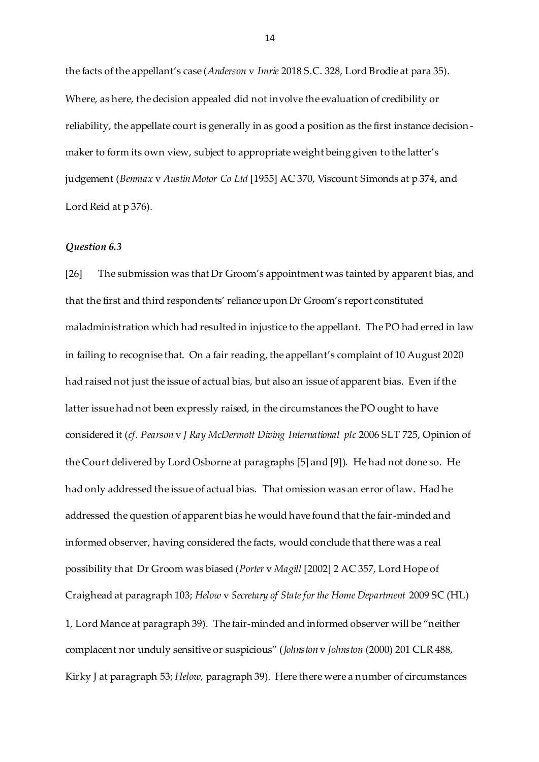the facts of the appellant's case (*Anderson* v *Imrie* 2018 S.C. 328, Lord Brodie at para 35). Where, as here, the decision appealed did not involve the evaluation of credibility or reliability, the appellate court is generally in as good a position as the first instance decisionmaker to form its own view, subject to appropriate weight being given to the latter's judgement (*Benmax* v *Austin Motor Co Ltd* [1955] AC 370, Viscount Simonds at p 374, and Lord Reid at p 376).

#### *Question 6.3*

[26] The submission was that Dr Groom's appointment was tainted by apparent bias, and that the first and third respondents' reliance upon Dr Groom's report constituted maladministration which had resulted in injustice to the appellant. The PO had erred in law in failing to recognise that. On a fair reading, the appellant's complaint of 10 August 2020 had raised not just the issue of actual bias, but also an issue of apparent bias. Even if the latter issue had not been expressly raised, in the circumstances the PO ought to have considered it (*cf. Pearson* v *J Ray McDermott Diving International plc* 2006 SLT 725, Opinion of the Court delivered by Lord Osborne at paragraphs [5] and [9]). He had not done so. He had only addressed the issue of actual bias. That omission was an error of law. Had he addressed the question of apparent bias he would have found that the fair-minded and informed observer, having considered the facts, would conclude that there was a real possibility that Dr Groom was biased (*Porter* v *Magill* [2002] 2 AC 357, Lord Hope of Craighead at paragraph 103; *Helow* v *Secretary of State for the Home Department* 2009 SC (HL) 1, Lord Mance at paragraph 39). The fair-minded and informed observer will be "neither complacent nor unduly sensitive or suspicious" (*Johnston* v *Johnston* (2000) 201 CLR 488, Kirky J at paragraph 53; *Helow,* paragraph 39). Here there were a number of circumstances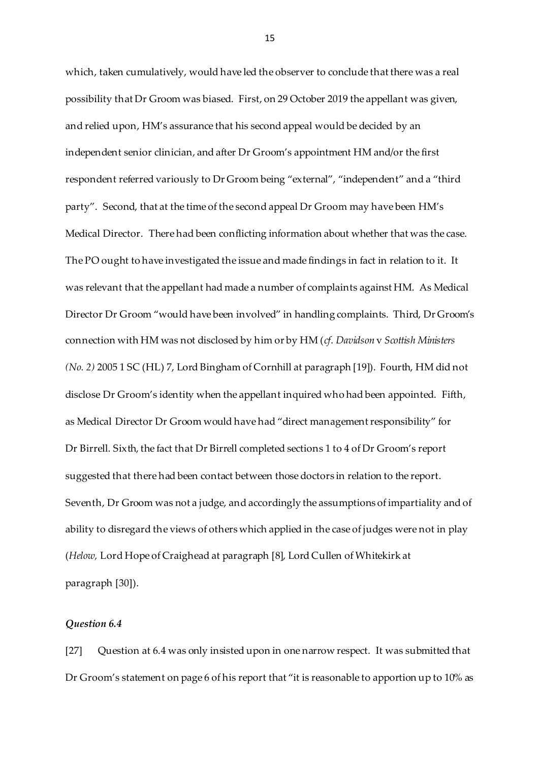which, taken cumulatively, would have led the observer to conclude that there was a real possibility that Dr Groom was biased. First, on 29 October 2019 the appellant was given, and relied upon, HM's assurance that his second appeal would be decided by an independent senior clinician, and after Dr Groom's appointment HM and/or the first respondent referred variously to Dr Groom being "external", "independent" and a "third party". Second, that at the time of the second appeal Dr Groom may have been HM's Medical Director. There had been conflicting information about whether that was the case. The PO ought to have investigated the issue and made findings in fact in relation to it. It was relevant that the appellant had made a number of complaints against HM. As Medical Director Dr Groom "would have been involved" in handling complaints. Third, Dr Groom's connection with HM was not disclosed by him or by HM (*cf*. *Davidson* v *Scottish Ministers (No. 2)* 2005 1 SC (HL) 7, Lord Bingham of Cornhill at paragraph [19]). Fourth, HM did not disclose Dr Groom's identity when the appellant inquired who had been appointed. Fifth, as Medical Director Dr Groom would have had "direct management responsibility" for Dr Birrell. Sixth, the fact that Dr Birrell completed sections 1 to 4 of Dr Groom's report suggested that there had been contact between those doctors in relation to the report. Seventh, Dr Groom was not a judge, and accordingly the assumptions of impartiality and of ability to disregard the views of others which applied in the case of judges were not in play (*Helow,* Lord Hope of Craighead at paragraph [8], Lord Cullen of Whitekirk at paragraph [30]).

#### *Question 6.4*

[27] Question at 6.4 was only insisted upon in one narrow respect. It was submitted that Dr Groom's statement on page 6 of his report that "it is reasonable to apportion up to 10% as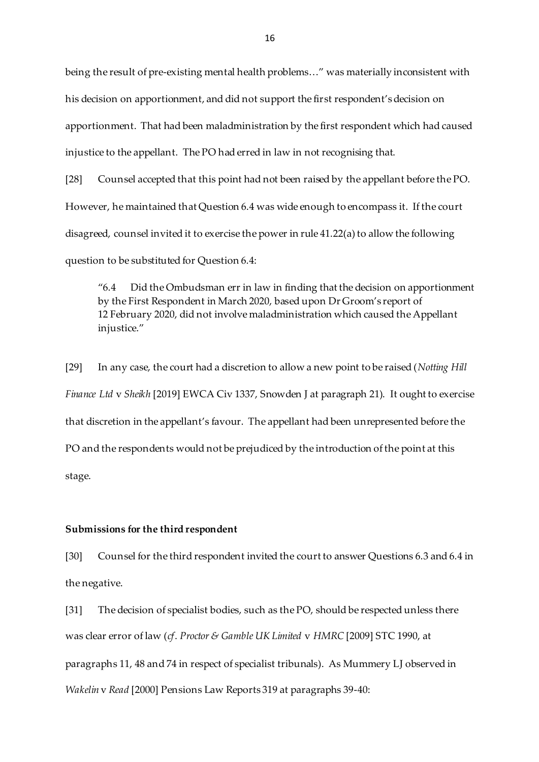being the result of pre-existing mental health problems…" was materially inconsistent with his decision on apportionment, and did not support the first respondent's decision on apportionment. That had been maladministration by the first respondent which had caused injustice to the appellant. The PO had erred in law in not recognising that.

[28] Counsel accepted that this point had not been raised by the appellant before the PO. However, he maintained that Question 6.4 was wide enough to encompass it. If the court disagreed, counsel invited it to exercise the power in rule 41.22(a) to allow the following question to be substituted for Question 6.4:

"6.4 Did the Ombudsman err in law in finding that the decision on apportionment by the First Respondent in March 2020, based upon Dr Groom's report of 12 February 2020, did not involve maladministration which caused the Appellant injustice."

[29] In any case, the court had a discretion to allow a new point to be raised (*Notting Hill Finance Ltd* v *Sheikh* [2019] EWCA Civ 1337, Snowden J at paragraph 21). It ought to exercise that discretion in the appellant's favour. The appellant had been unrepresented before the PO and the respondents would not be prejudiced by the introduction of the point at this stage.

#### **Submissions for the third respondent**

[30] Counsel for the third respondent invited the court to answer Questions 6.3 and 6.4 in the negative.

[31] The decision of specialist bodies, such as the PO, should be respected unless there was clear error of law (*cf*. *Proctor & Gamble UK Limited* v *HMRC* [2009] STC 1990, at paragraphs 11, 48 and 74 in respect of specialist tribunals). As Mummery LJ observed in *Wakelin* v *Read* [2000] Pensions Law Reports 319 at paragraphs 39-40: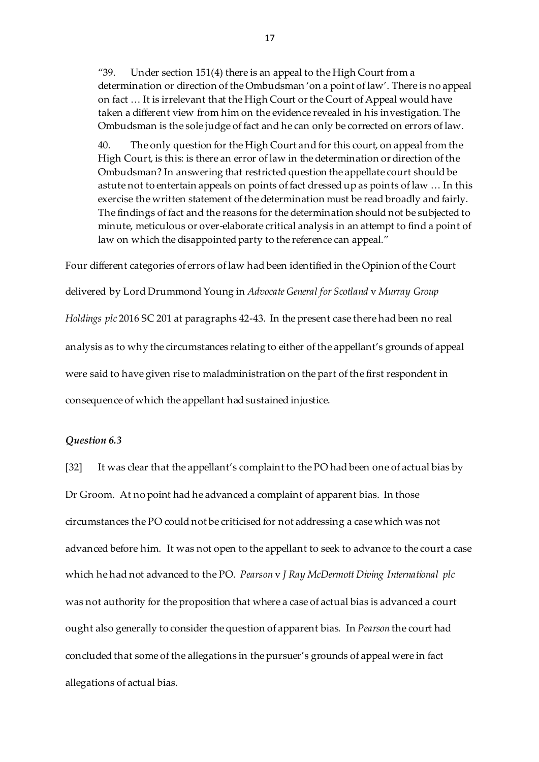"39. Under section 151(4) there is an appeal to the High Court from a determination or direction of the Ombudsman 'on a point of law'. There is no appeal on fact … It is irrelevant that the High Court or the Court of Appeal would have taken a different view from him on the evidence revealed in his investigation. The Ombudsman is the sole judge of fact and he can only be corrected on errors of law.

40. The only question for the High Court and for this court, on appeal from the High Court, is this: is there an error of law in the determination or direction of the Ombudsman? In answering that restricted question the appellate court should be astute not to entertain appeals on points of fact dressed up as points of law … In this exercise the written statement of the determination must be read broadly and fairly. The findings of fact and the reasons for the determination should not be subjected to minute, meticulous or over-elaborate critical analysis in an attempt to find a point of law on which the disappointed party to the reference can appeal."

Four different categories of errors of law had been identified in the Opinion of the Court delivered by Lord Drummond Young in *Advocate General for Scotland* v *Murray Group Holdings plc* 2016 SC 201 at paragraphs 42-43. In the present case there had been no real analysis as to why the circumstances relating to either of the appellant's grounds of appeal were said to have given rise to maladministration on the part of the first respondent in consequence of which the appellant had sustained injustice.

#### *Question 6.3*

[32] It was clear that the appellant's complaint to the PO had been one of actual bias by Dr Groom. At no point had he advanced a complaint of apparent bias. In those circumstances the PO could not be criticised for not addressing a case which was not advanced before him. It was not open to the appellant to seek to advance to the court a case which he had not advanced to the PO. *Pearson* v *J Ray McDermott Diving International plc*  was not authority for the proposition that where a case of actual bias is advanced a court ought also generally to consider the question of apparent bias. In *Pearson* the court had concluded that some of the allegations in the pursuer's grounds of appeal were in fact allegations of actual bias.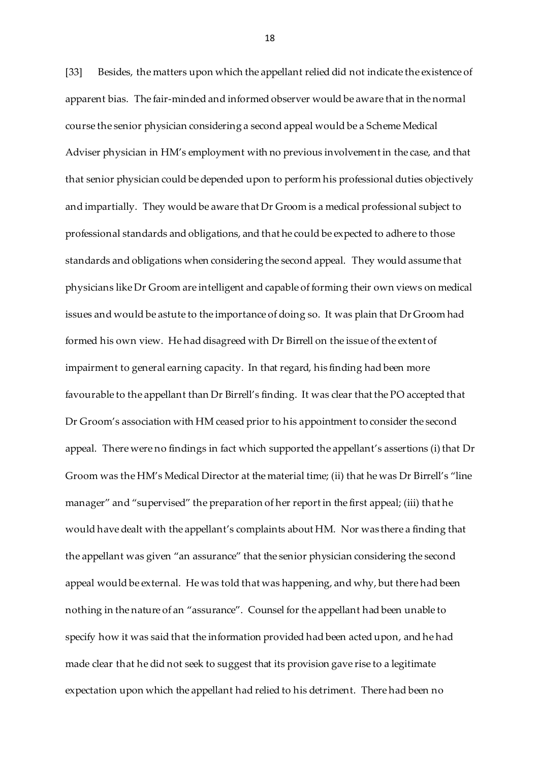[33] Besides, the matters upon which the appellant relied did not indicate the existence of apparent bias. The fair-minded and informed observer would be aware that in the normal course the senior physician considering a second appeal would be a Scheme Medical Adviser physician in HM's employment with no previous involvement in the case, and that that senior physician could be depended upon to perform his professional duties objectively and impartially. They would be aware that Dr Groom is a medical professional subject to professional standards and obligations, and that he could be expected to adhere to those standards and obligations when considering the second appeal. They would assume that physicians like Dr Groom are intelligent and capable of forming their own views on medical issues and would be astute to the importance of doing so. It was plain that Dr Groom had formed his own view. He had disagreed with Dr Birrell on the issue of the extent of impairment to general earning capacity. In that regard, his finding had been more favourable to the appellant than Dr Birrell's finding. It was clear that the PO accepted that Dr Groom's association with HM ceased prior to his appointment to consider the second appeal. There were no findings in fact which supported the appellant's assertions (i) that Dr Groom was the HM's Medical Director at the material time; (ii) that he was Dr Birrell's "line manager" and "supervised" the preparation of her report in the first appeal; (iii) that he would have dealt with the appellant's complaints about HM. Nor was there a finding that the appellant was given "an assurance" that the senior physician considering the second appeal would be external. He was told that was happening, and why, but there had been nothing in the nature of an "assurance". Counsel for the appellant had been unable to specify how it was said that the information provided had been acted upon, and he had made clear that he did not seek to suggest that its provision gave rise to a legitimate expectation upon which the appellant had relied to his detriment. There had been no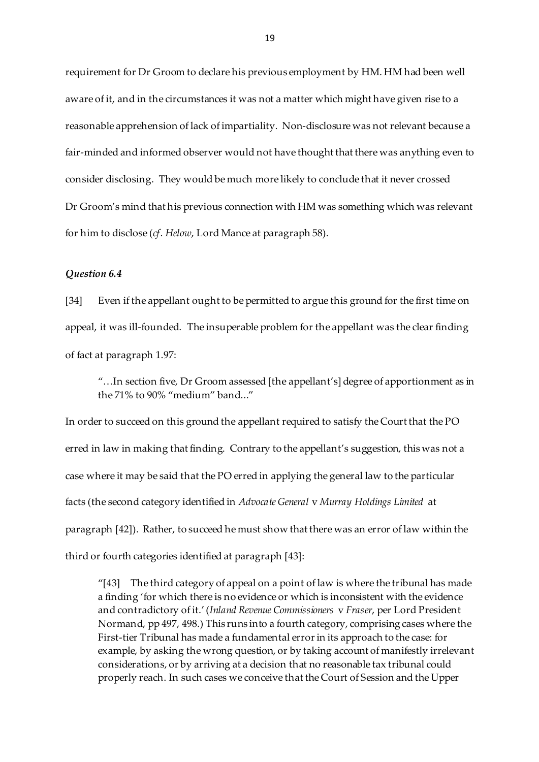requirement for Dr Groom to declare his previous employment by HM. HM had been well aware of it, and in the circumstances it was not a matter which might have given rise to a reasonable apprehension of lack of impartiality. Non-disclosure was not relevant because a fair-minded and informed observer would not have thought that there was anything even to consider disclosing. They would be much more likely to conclude that it never crossed Dr Groom's mind that his previous connection with HM was something which was relevant for him to disclose (*cf*. *Helow*, Lord Mance at paragraph 58).

#### *Question 6.4*

[34] Even if the appellant ought to be permitted to argue this ground for the first time on appeal, it was ill-founded. The insuperable problem for the appellant was the clear finding of fact at paragraph 1.97:

"…In section five, Dr Groom assessed [the appellant's] degree of apportionment as in the 71% to 90% "medium" band..."

In order to succeed on this ground the appellant required to satisfy the Court that the PO erred in law in making that finding. Contrary to the appellant's suggestion, this was not a case where it may be said that the PO erred in applying the general law to the particular facts (the second category identified in *Advocate General* v *Murray Holdings Limited* at paragraph [42]). Rather, to succeed he must show that there was an error of law within the third or fourth categories identified at paragraph [43]:

"[43] The third category of appeal on a point of law is where the tribunal has made a finding 'for which there is no evidence or which is inconsistent with the evidence and contradictory of it.' (*Inland Revenue Commissioners* v *Fraser*, per Lord President Normand, pp 497, 498.) This runs into a fourth category, comprising cases where the First-tier Tribunal has made a fundamental error in its approach to the case: for example, by asking the wrong question, or by taking account of manifestly irrelevant considerations, or by arriving at a decision that no reasonable tax tribunal could properly reach. In such cases we conceive that the Court of Session and the Upper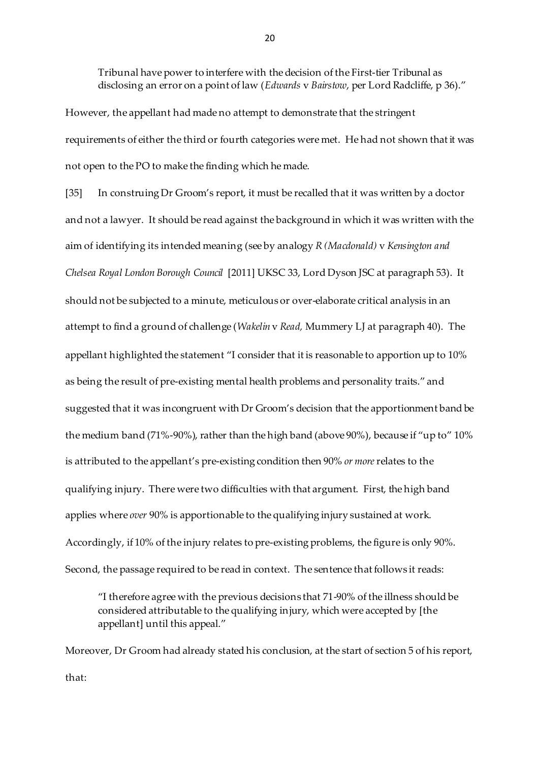Tribunal have power to interfere with the decision of the First-tier Tribunal as disclosing an error on a point of law (*Edwards* v *Bairstow*, per Lord Radcliffe, p 36)."

However, the appellant had made no attempt to demonstrate that the stringent requirements of either the third or fourth categories were met. He had not shown that it was not open to the PO to make the finding which he made.

[35] In construing Dr Groom's report, it must be recalled that it was written by a doctor and not a lawyer. It should be read against the background in which it was written with the aim of identifying its intended meaning (see by analogy *R (Macdonald)* v *Kensington and Chelsea Royal London Borough Council* [2011] UKSC 33, Lord Dyson JSC at paragraph 53). It should not be subjected to a minute, meticulous or over-elaborate critical analysis in an attempt to find a ground of challenge (*Wakelin* v *Read,* Mummery LJ at paragraph 40). The appellant highlighted the statement "I consider that it is reasonable to apportion up to 10% as being the result of pre-existing mental health problems and personality traits." and suggested that it was incongruent with Dr Groom's decision that the apportionment band be the medium band (71%-90%), rather than the high band (above 90%), because if "up to" 10% is attributed to the appellant's pre-existing condition then 90% *or more*relates to the qualifying injury. There were two difficulties with that argument. First, the high band applies where *over* 90% is apportionable to the qualifying injury sustained at work. Accordingly, if 10% of the injury relates to pre-existing problems, the figure is only 90%. Second, the passage required to be read in context. The sentence that follows it reads:

"I therefore agree with the previous decisions that 71-90% of the illness should be considered attributable to the qualifying injury, which were accepted by [the appellant] until this appeal."

Moreover, Dr Groom had already stated his conclusion, at the start of section 5 of his report, that: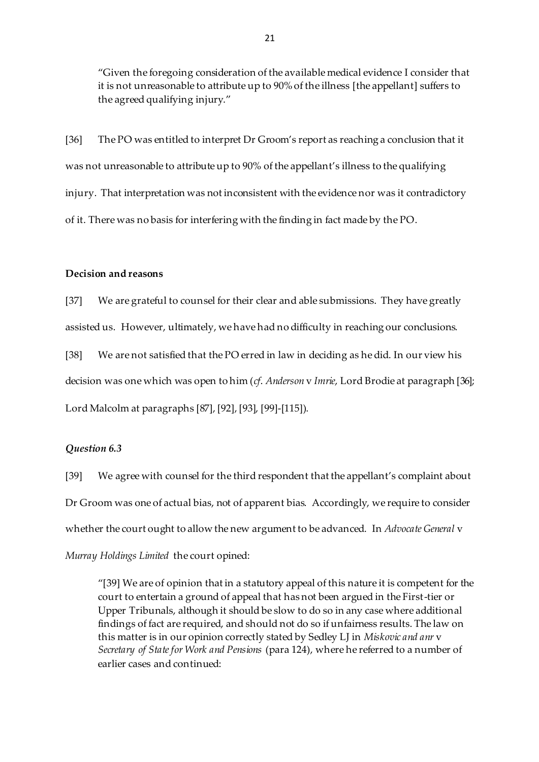"Given the foregoing consideration of the available medical evidence I consider that it is not unreasonable to attribute up to 90% of the illness [the appellant] suffers to the agreed qualifying injury."

[36] The PO was entitled to interpret Dr Groom's report as reaching a conclusion that it was not unreasonable to attribute up to 90% of the appellant's illness to the qualifying injury. That interpretation was not inconsistent with the evidence nor was it contradictory of it. There was no basis for interfering with the finding in fact made by the PO.

## **Decision and reasons**

[37] We are grateful to counsel for their clear and able submissions. They have greatly assisted us. However, ultimately, we have had no difficulty in reaching our conclusions.

[38] We are not satisfied that the PO erred in law in deciding as he did. In our view his decision was one which was open to him (*cf*. *Anderson* v *Imrie*, Lord Brodie at paragraph [36]; Lord Malcolm at paragraphs [87], [92], [93], [99]-[115]).

#### *Question 6.3*

[39] We agree with counsel for the third respondent that the appellant's complaint about Dr Groom was one of actual bias, not of apparent bias. Accordingly, we require to consider whether the court ought to allow the new argument to be advanced. In *Advocate General* v *Murray Holdings Limited* the court opined:

"[39] We are of opinion that in a statutory appeal of this nature it is competent for the court to entertain a ground of appeal that has not been argued in the First-tier or Upper Tribunals, although it should be slow to do so in any case where additional findings of fact are required, and should not do so if unfairness results. The law on this matter is in our opinion correctly stated by Sedley LJ in *Miskovic and anr* v *Secretary of State for Work and Pensions* (para 124), where he referred to a number of earlier cases and continued: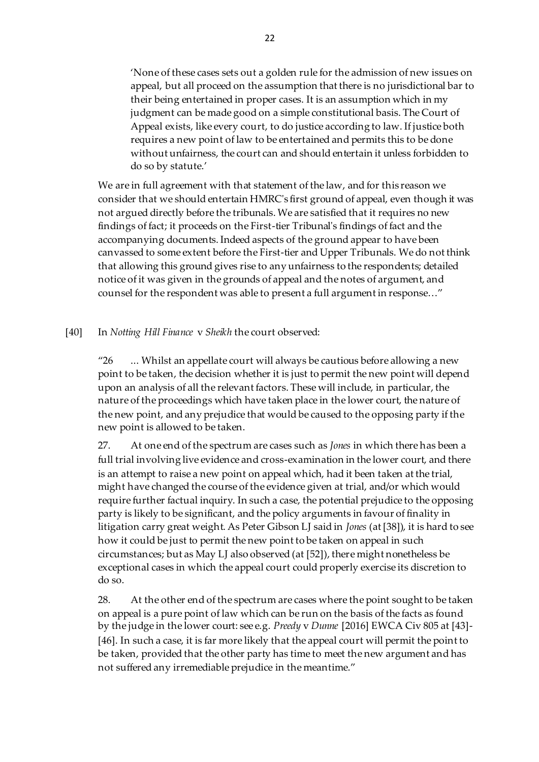'None of these cases sets out a golden rule for the admission of new issues on appeal, but all proceed on the assumption that there is no jurisdictional bar to their being entertained in proper cases. It is an assumption which in my judgment can be made good on a simple constitutional basis. The Court of Appeal exists, like every court, to do justice according to law. If justice both requires a new point of law to be entertained and permits this to be done without unfairness, the court can and should entertain it unless forbidden to do so by statute.'

We are in full agreement with that statement of the law, and for this reason we consider that we should entertain HMRC's first ground of appeal, even though it was not argued directly before the tribunals. We are satisfied that it requires no new findings of fact; it proceeds on the First-tier Tribunal's findings of fact and the accompanying documents. Indeed aspects of the ground appear to have been canvassed to some extent before the First-tier and Upper Tribunals. We do not think that allowing this ground gives rise to any unfairness to the respondents; detailed notice of it was given in the grounds of appeal and the notes of argument, and counsel for the respondent was able to present a full argument in response…"

[40] In *Notting Hill Finance* v *Sheikh* the court observed:

"26 ... Whilst an appellate court will always be cautious before allowing a new point to be taken, the decision whether it is just to permit the new point will depend upon an analysis of all the relevant factors. These will include, in particular, the nature of the proceedings which have taken place in the lower court, the nature of the new point, and any prejudice that would be caused to the opposing party if the new point is allowed to be taken.

27. At one end of the spectrum are cases such as *Jones* in which there has been a full trial involving live evidence and cross-examination in the lower court, and there is an attempt to raise a new point on appeal which, had it been taken at the trial, might have changed the course of the evidence given at trial, and/or which would require further factual inquiry. In such a case, the potential prejudice to the opposing party is likely to be significant, and the policy arguments in favour of finality in litigation carry great weight. As Peter Gibson LJ said in *Jones* (at [38]), it is hard to see how it could be just to permit the new point to be taken on appeal in such circumstances; but as May LJ also observed (at [52]), there might nonetheless be exceptional cases in which the appeal court could properly exercise its discretion to do so.

28. At the other end of the spectrum are cases where the point sought to be taken on appeal is a pure point of law which can be run on the basis of the facts as found by the judge in the lower court: see e.g. *Preedy* v *Dunne* [2016] EWCA Civ 805 at [43]- [46]. In such a case, it is far more likely that the appeal court will permit the point to be taken, provided that the other party has time to meet the new argument and has not suffered any irremediable prejudice in the meantime."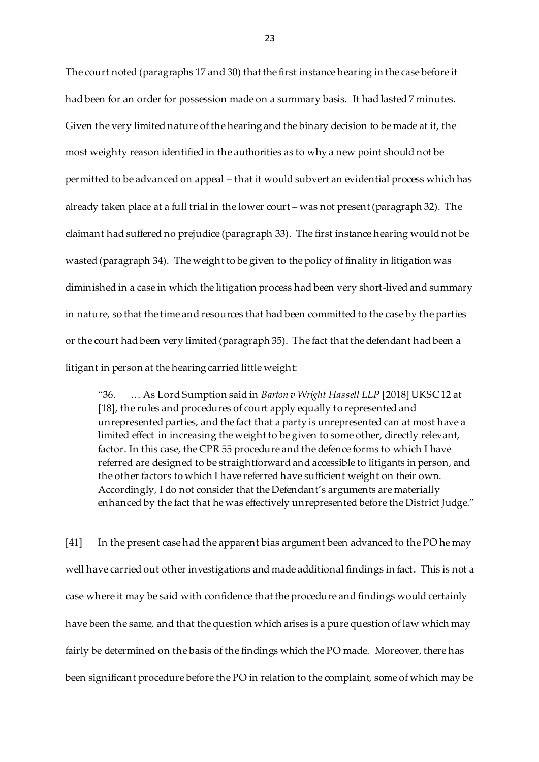The court noted (paragraphs 17 and 30) that the first instance hearing in the case before it had been for an order for possession made on a summary basis. It had lasted 7 minutes. Given the very limited nature of the hearing and the binary decision to be made at it, the most weighty reason identified in the authorities as to why a new point should not be permitted to be advanced on appeal – that it would subvert an evidential process which has already taken place at a full trial in the lower court – was not present (paragraph 32). The claimant had suffered no prejudice (paragraph 33). The first instance hearing would not be wasted (paragraph 34). The weight to be given to the policy of finality in litigation was diminished in a case in which the litigation process had been very short-lived and summary in nature, so that the time and resources that had been committed to the case by the parties or the court had been very limited (paragraph 35). The fact that the defendant had been a litigant in person at the hearing carried little weight:

"36. … As Lord Sumption said in *Barton v Wright Hassell LLP* [2018] UKSC 12 at [18], the rules and procedures of court apply equally to represented and unrepresented parties, and the fact that a party is unrepresented can at most have a limited effect in increasing the weight to be given to some other, directly relevant, factor. In this case, the CPR 55 procedure and the defence forms to which I have referred are designed to be straightforward and accessible to litigants in person, and the other factors to which I have referred have sufficient weight on their own. Accordingly, I do not consider that the Defendant's arguments are materially enhanced by the fact that he was effectively unrepresented before the District Judge."

[41] In the present case had the apparent bias argument been advanced to the PO he may well have carried out other investigations and made additional findings in fact. This is not a case where it may be said with confidence that the procedure and findings would certainly have been the same, and that the question which arises is a pure question of law which may fairly be determined on the basis of the findings which the PO made. Moreover, there has been significant procedure before the PO in relation to the complaint, some of which may be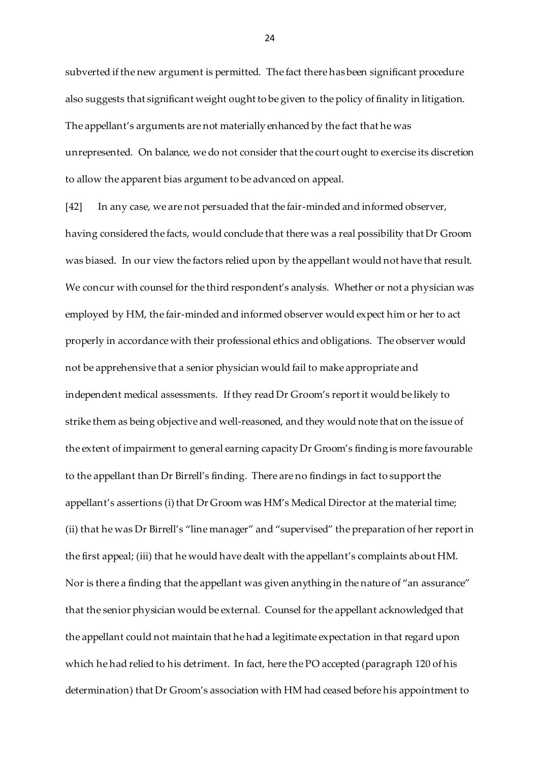subverted if the new argument is permitted. The fact there has been significant procedure also suggests that significant weight ought to be given to the policy of finality in litigation. The appellant's arguments are not materially enhanced by the fact that he was unrepresented. On balance, we do not consider that the court ought to exercise its discretion to allow the apparent bias argument to be advanced on appeal.

[42] In any case, we are not persuaded that the fair-minded and informed observer, having considered the facts, would conclude that there was a real possibility that Dr Groom was biased. In our view the factors relied upon by the appellant would not have that result. We concur with counsel for the third respondent's analysis. Whether or not a physician was employed by HM, the fair-minded and informed observer would expect him or her to act properly in accordance with their professional ethics and obligations. The observer would not be apprehensive that a senior physician would fail to make appropriate and independent medical assessments. If they read Dr Groom's report it would be likely to strike them as being objective and well-reasoned, and they would note that on the issue of the extent of impairment to general earning capacity Dr Groom's finding is more favourable to the appellant than Dr Birrell's finding. There are no findings in fact to support the appellant's assertions (i) that Dr Groom was HM's Medical Director at the material time; (ii) that he was Dr Birrell's "line manager" and "supervised" the preparation of her report in the first appeal; (iii) that he would have dealt with the appellant's complaints about HM. Nor is there a finding that the appellant was given anything in the nature of "an assurance" that the senior physician would be external. Counsel for the appellant acknowledged that the appellant could not maintain that he had a legitimate expectation in that regard upon which he had relied to his detriment. In fact, here the PO accepted (paragraph 120 of his determination) that Dr Groom's association with HM had ceased before his appointment to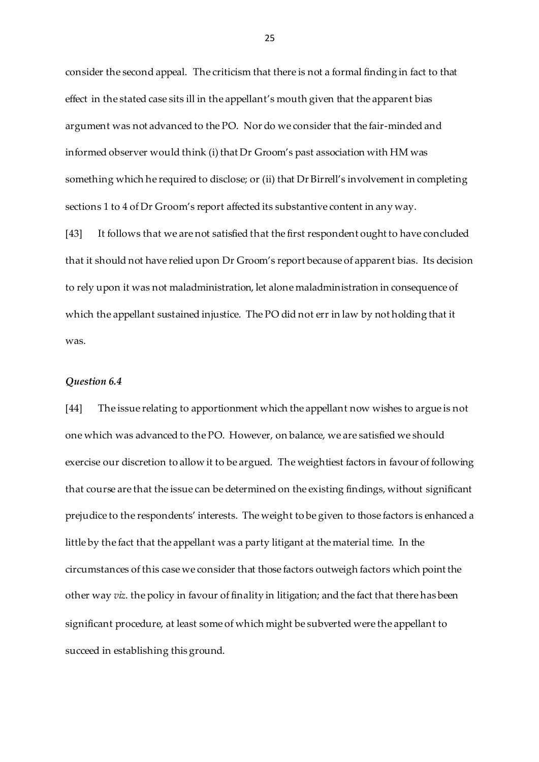consider the second appeal. The criticism that there is not a formal finding in fact to that effect in the stated case sits ill in the appellant's mouth given that the apparent bias argument was not advanced to the PO. Nor do we consider that the fair-minded and informed observer would think (i) that Dr Groom's past association with HM was something which he required to disclose; or (ii) that Dr Birrell's involvement in completing sections 1 to 4 of Dr Groom's report affected its substantive content in any way.

[43] It follows that we are not satisfied that the first respondent ought to have concluded that it should not have relied upon Dr Groom's report because of apparent bias. Its decision to rely upon it was not maladministration, let alone maladministration in consequence of which the appellant sustained injustice. The PO did not err in law by not holding that it was.

#### *Question 6.4*

[44] The issue relating to apportionment which the appellant now wishes to argue is not one which was advanced to the PO. However, on balance, we are satisfied we should exercise our discretion to allow it to be argued. The weightiest factors in favour of following that course are that the issue can be determined on the existing findings, without significant prejudice to the respondents' interests. The weight to be given to those factors is enhanced a little by the fact that the appellant was a party litigant at the material time. In the circumstances of this case we consider that those factors outweigh factors which point the other way *viz*. the policy in favour of finality in litigation; and the fact that there has been significant procedure, at least some of which might be subverted were the appellant to succeed in establishing this ground.